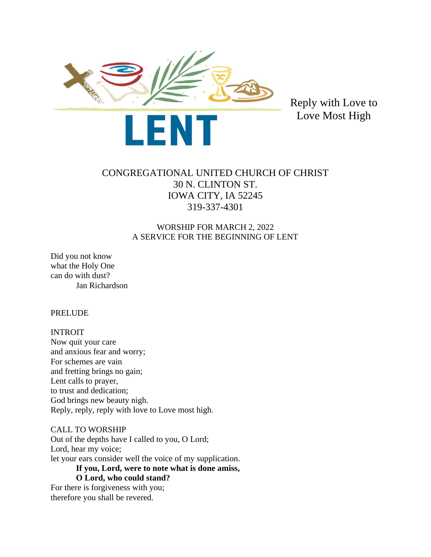

Reply with Love to Love Most High

# CONGREGATIONAL UNITED CHURCH OF CHRIST 30 N. CLINTON ST. IOWA CITY, IA 52245 319-337-4301

# WORSHIP FOR MARCH 2, 2022 A SERVICE FOR THE BEGINNING OF LENT

Did you not know what the Holy One can do with dust? Jan Richardson

PRELUDE

## INTROIT

Now quit your care and anxious fear and worry; For schemes are vain and fretting brings no gain; Lent calls to prayer, to trust and dedication; God brings new beauty nigh. Reply, reply, reply with love to Love most high.

# CALL TO WORSHIP

Out of the depths have I called to you, O Lord; Lord, hear my voice; let your ears consider well the voice of my supplication. **If you, Lord, were to note what is done amiss, O Lord, who could stand?** For there is forgiveness with you;

therefore you shall be revered.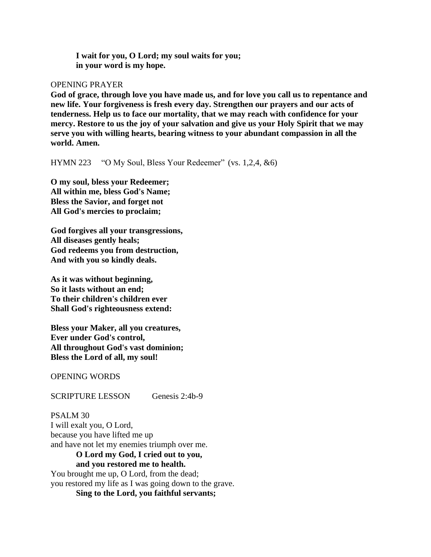**I wait for you, O Lord; my soul waits for you; in your word is my hope.**

#### OPENING PRAYER

**God of grace, through love you have made us, and for love you call us to repentance and new life. Your forgiveness is fresh every day. Strengthen our prayers and our acts of tenderness. Help us to face our mortality, that we may reach with confidence for your mercy. Restore to us the joy of your salvation and give us your Holy Spirit that we may serve you with willing hearts, bearing witness to your abundant compassion in all the world. Amen.**

HYMN 223 "O My Soul, Bless Your Redeemer" (vs. 1,2,4, &6)

**O my soul, bless your Redeemer; All within me, bless God's Name; Bless the Savior, and forget not All God's mercies to proclaim;**

**God forgives all your transgressions, All diseases gently heals; God redeems you from destruction, And with you so kindly deals.**

**As it was without beginning, So it lasts without an end; To their children's children ever Shall God's righteousness extend:**

**Bless your Maker, all you creatures, Ever under God's control, All throughout God's vast dominion; Bless the Lord of all, my soul!**

OPENING WORDS

SCRIPTURE LESSON Genesis 2:4b-9

PSALM 30 I will exalt you, O Lord, because you have lifted me up and have not let my enemies triumph over me.

**O Lord my God, I cried out to you, and you restored me to health.** You brought me up, O Lord, from the dead; you restored my life as I was going down to the grave. **Sing to the Lord, you faithful servants;**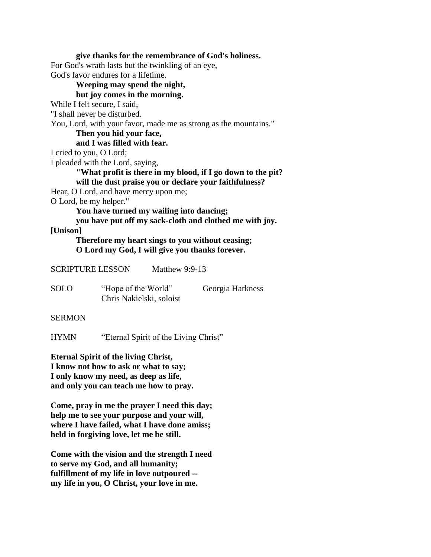**give thanks for the remembrance of God's holiness.** For God's wrath lasts but the twinkling of an eye, God's favor endures for a lifetime. **Weeping may spend the night, but joy comes in the morning.** While I felt secure, I said, "I shall never be disturbed. You, Lord, with your favor, made me as strong as the mountains." **Then you hid your face, and I was filled with fear.** I cried to you, O Lord; I pleaded with the Lord, saying, **"What profit is there in my blood, if I go down to the pit? will the dust praise you or declare your faithfulness?** Hear, O Lord, and have mercy upon me; O Lord, be my helper." **You have turned my wailing into dancing; you have put off my sack-cloth and clothed me with joy. [Unison] Therefore my heart sings to you without ceasing; O Lord my God, I will give you thanks forever.** SCRIPTURE LESSON Matthew 9:9-13 SOLO "Hope of the World" Georgia Harkness Chris Nakielski, soloist SERMON

HYMN "Eternal Spirit of the Living Christ"

**Eternal Spirit of the living Christ, I know not how to ask or what to say; I only know my need, as deep as life, and only you can teach me how to pray.**

**Come, pray in me the prayer I need this day; help me to see your purpose and your will, where I have failed, what I have done amiss; held in forgiving love, let me be still.**

**Come with the vision and the strength I need to serve my God, and all humanity; fulfillment of my life in love outpoured - my life in you, O Christ, your love in me.**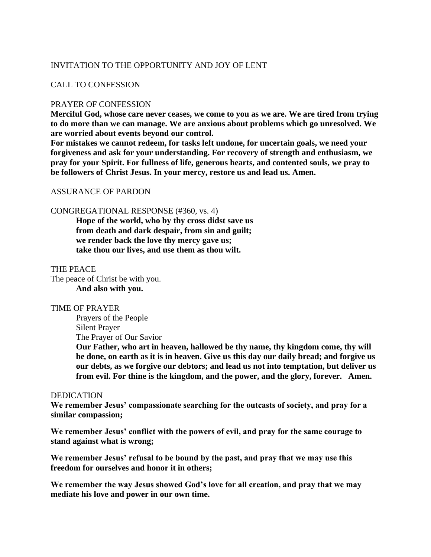## INVITATION TO THE OPPORTUNITY AND JOY OF LENT

### CALL TO CONFESSION

#### PRAYER OF CONFESSION

**Merciful God, whose care never ceases, we come to you as we are. We are tired from trying to do more than we can manage. We are anxious about problems which go unresolved. We are worried about events beyond our control.** 

**For mistakes we cannot redeem, for tasks left undone, for uncertain goals, we need your forgiveness and ask for your understanding. For recovery of strength and enthusiasm, we pray for your Spirit. For fullness of life, generous hearts, and contented souls, we pray to be followers of Christ Jesus. In your mercy, restore us and lead us. Amen.**

#### ASSURANCE OF PARDON

#### CONGREGATIONAL RESPONSE (#360, vs. 4)

**Hope of the world, who by thy cross didst save us from death and dark despair, from sin and guilt; we render back the love thy mercy gave us; take thou our lives, and use them as thou wilt.** 

#### THE PEACE

The peace of Christ be with you. **And also with you.**

#### TIME OF PRAYER

Prayers of the People Silent Prayer The Prayer of Our Savior

**Our Father, who art in heaven, hallowed be thy name, thy kingdom come, thy will be done, on earth as it is in heaven. Give us this day our daily bread; and forgive us our debts, as we forgive our debtors; and lead us not into temptation, but deliver us from evil. For thine is the kingdom, and the power, and the glory, forever. Amen.**

#### DEDICATION

**We remember Jesus' compassionate searching for the outcasts of society, and pray for a similar compassion;**

**We remember Jesus' conflict with the powers of evil, and pray for the same courage to stand against what is wrong;**

**We remember Jesus' refusal to be bound by the past, and pray that we may use this freedom for ourselves and honor it in others;**

**We remember the way Jesus showed God's love for all creation, and pray that we may mediate his love and power in our own time.**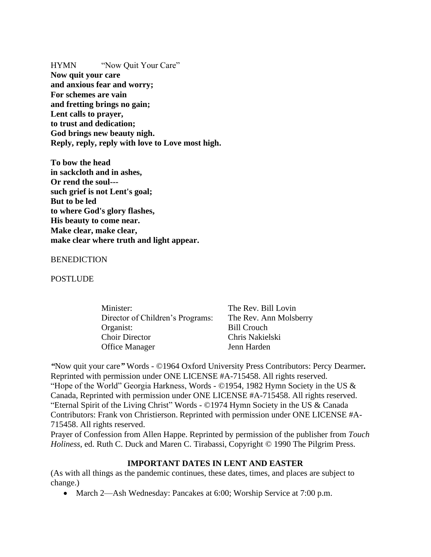HYMN "Now Quit Your Care" **Now quit your care and anxious fear and worry; For schemes are vain and fretting brings no gain; Lent calls to prayer, to trust and dedication; God brings new beauty nigh. Reply, reply, reply with love to Love most high.**

**To bow the head in sackcloth and in ashes, Or rend the soul-- such grief is not Lent's goal; But to be led to where God's glory flashes, His beauty to come near. Make clear, make clear, make clear where truth and light appear.**

#### **BENEDICTION**

#### **POSTLUDE**

| Minister:                        | The Rev. Bill Lovin    |
|----------------------------------|------------------------|
| Director of Children's Programs: | The Rev. Ann Molsberry |
| Organist:                        | <b>Bill Crouch</b>     |
| <b>Choir Director</b>            | Chris Nakielski        |
| <b>Office Manager</b>            | Jenn Harden            |
|                                  |                        |

*"*Now quit your care*"* Words - ©1964 Oxford University Press Contributors: Percy Dearmer*.*  Reprinted with permission under ONE LICENSE #A-715458. All rights reserved. "Hope of the World" Georgia Harkness, Words - ©1954, 1982 Hymn Society in the US & Canada, Reprinted with permission under ONE LICENSE #A-715458. All rights reserved. "Eternal Spirit of the Living Christ" Words - ©1974 Hymn Society in the US & Canada Contributors: Frank von Christierson. Reprinted with permission under ONE LICENSE #A-715458. All rights reserved.

Prayer of Confession from Allen Happe. Reprinted by permission of the publisher from *Touch Holiness*, ed. Ruth C. Duck and Maren C. Tirabassi, Copyright © 1990 The Pilgrim Press.

#### **IMPORTANT DATES IN LENT AND EASTER**

(As with all things as the pandemic continues, these dates, times, and places are subject to change.)

• March 2—Ash Wednesday: Pancakes at 6:00; Worship Service at 7:00 p.m.